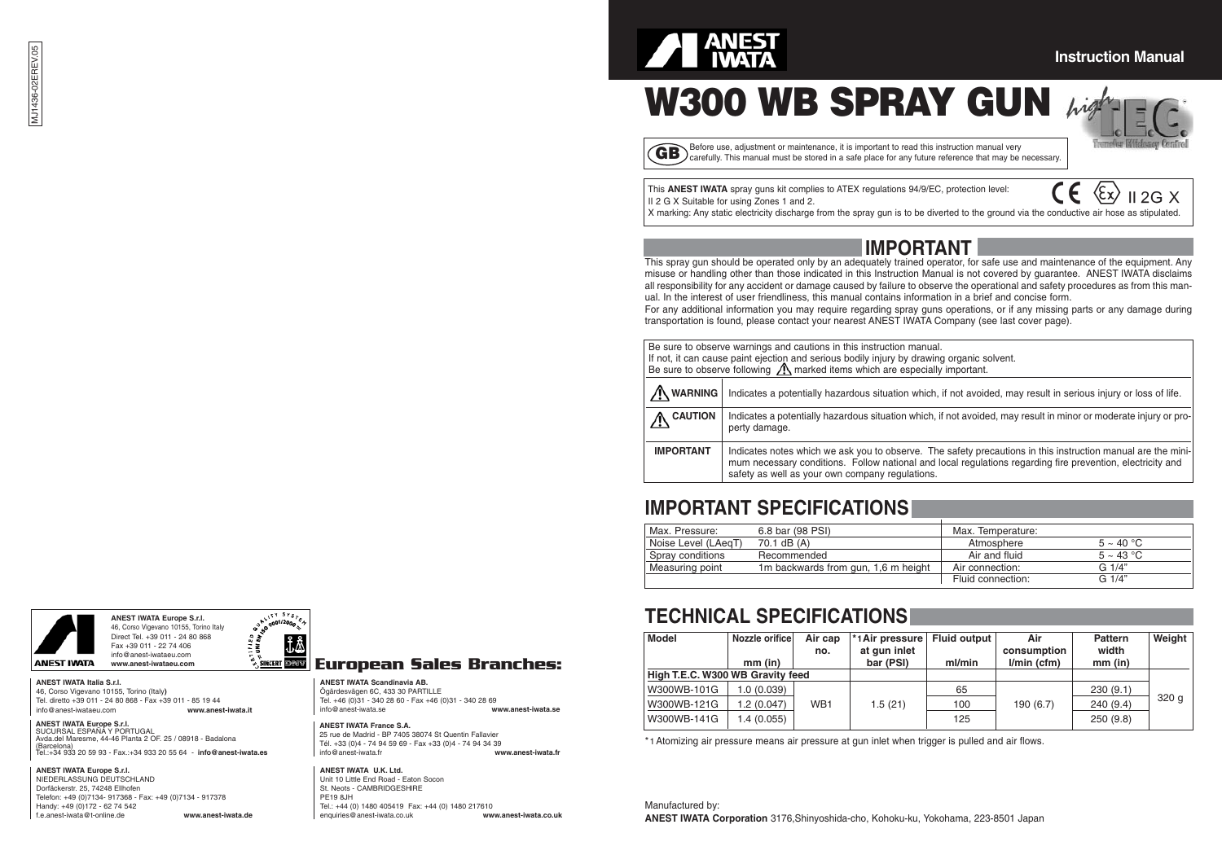### **Instruction Manual**

**W300 WB SPRAY GUN**  $\mu$ **ig** 

 $2G X$ 

GB) Before use, adjustment or maintenance, it is important to read this instruction manual very carefully. This manual must be stored in a safe place for any future reference that may be necessary.

This **ANEST IWATA** spray guns kit complies to ATEX regulations 94/9/EC, protection level: II 2 G X Suitable for using Zones 1 and 2.

X marking: Any static electricity discharge from the spray gun is to be diverted to the ground via the conductive air hose as stipulated.



This spray gun should be operated only by an adequately trained operator, for safe use and maintenance of the equipment. Any misuse or handling other than those indicated in this Instruction Manual is not covered by guarantee. ANEST IWATA disclaims all responsibility for any accident or damage caused by failure to observe the operational and safety procedures as from this manual. In the interest of user friendliness, this manual contains information in a brief and concise form.

For any additional information you may require regarding spray guns operations, or if any missing parts or any damage during transportation is found, please contact your nearest ANEST IWATA Company (see last cover page).

| Be sure to observe warnings and cautions in this instruction manual.<br>If not, it can cause paint ejection and serious bodily injury by drawing organic solvent.<br>Be sure to observe following $\triangle$ marked items which are especially important. |                                                                                                                                                                                                                                                                               |  |  |  |
|------------------------------------------------------------------------------------------------------------------------------------------------------------------------------------------------------------------------------------------------------------|-------------------------------------------------------------------------------------------------------------------------------------------------------------------------------------------------------------------------------------------------------------------------------|--|--|--|
|                                                                                                                                                                                                                                                            |                                                                                                                                                                                                                                                                               |  |  |  |
| /I\ WARNING                                                                                                                                                                                                                                                | Indicates a potentially hazardous situation which, if not avoided, may result in serious injury or loss of life.                                                                                                                                                              |  |  |  |
| <b>CAUTION</b>                                                                                                                                                                                                                                             | Indicates a potentially hazardous situation which, if not avoided, may result in minor or moderate injury or pro-<br>perty damage.                                                                                                                                            |  |  |  |
| <b>IMPORTANT</b>                                                                                                                                                                                                                                           | Indicates notes which we ask you to observe. The safety precautions in this instruction manual are the mini-<br>mum necessary conditions. Follow national and local regulations regarding fire prevention, electricity and<br>safety as well as your own company regulations. |  |  |  |

### **IMPORTANT SPECIFICATIONS**

| Max. Pressure:      | 6.8 bar (98 PSI)                    | Max. Temperature: |                       |
|---------------------|-------------------------------------|-------------------|-----------------------|
| Noise Level (LAegT) | 70.1 dB (A)                         | Atmosphere        | $5 \sim 40 \degree C$ |
| Spray conditions    | Recommended                         | Air and fluid     | $5 \sim 43$ °C        |
| Measuring point     | 1m backwards from gun, 1,6 m height | Air connection:   | $G \frac{1}{4}$       |
|                     |                                     | Fluid connection: | $G \frac{1}{4}$       |

### **TECHNICAL SPECIFICATIONS**

| <b>Model</b>                     | Nozzle orifice | Air cap         | *1 Air pressure   Fluid output |        | Air           | Pattern   | Weight |
|----------------------------------|----------------|-----------------|--------------------------------|--------|---------------|-----------|--------|
|                                  |                | no.             | at qun inlet                   |        | consumption   | width     |        |
|                                  | $mm$ (in)      |                 | bar (PSI)                      | ml/min | $l/min$ (cfm) | $mm$ (in) |        |
| High T.E.C. W300 WB Gravity feed |                |                 |                                |        |               |           |        |
| W300WB-101G                      | 1.0(0.039)     |                 |                                | 65     |               | 230(9.1)  |        |
| W300WB-121G                      | 1.2(0.047)     | WB <sub>1</sub> | 1.5(21)                        | 100    | 190(6.7)      | 240(9.4)  | 320q   |
| W300WB-141G                      | 1.4 (0.055)    |                 |                                | 125    |               | 250(9.8)  |        |

\* 1Atomizing air pressure means air pressure at gun inlet when trigger is pulled and air flows.

Manufactured by: **ANEST IWATA Corporation** 3176,Shinyoshida-cho, Kohoku-ku, Yokohama, 223-8501 Japan

### **ANEST IWATA Europe S.r.l.** Direct Tel. +39 011 - 24 80 868 Fax +39 011 - 22 74 406



info@anest-iwataeu.com **ANEST IWATA www.anest-iwataeu.com ANEST IWATA Italia S.r.l.**

46, Corso Vigevano 10155, Torino (Italy**)** Tel. diretto +39 011 - 24 80 868 - Fax +39 011 - 85 19 44<br>info@anost-instanu.com info@anest-iwataeu.com **www.anest-iwata.it**

**ANEST IWATA Europe S.r.l.** SUCURSAL ESPAÑA Y PORTUGAL Avda.del Maresme, 44-46 Planta 2 OF. 25 / 08918 - Badalona (Barcelona) Tel.:+34 933 20 59 93 - Fax.:+34 933 20 55 64 - **info@anest-iwata.es**

**ANEST IWATA Europe S.r.l.** NIEDERLASSUNG DEUTSCHLAND Dorfäckerstr. 25, 74248 Ellhofen Telefon: +49 (0)7134- 917368 - Fax: +49 (0)7134 - 917378 Handy: +49 (0)172 - 62 74 542 f.e.anest-iwata@t-online.de **www.anest-iwata.de**

.ty Sre. ĴÅ

### **European Sales Branches:**

**ANEST IWATA Scandinavia AB.** Ögärdesvägen 6C, 433 30 PARTILLE Tel. +46 (0)31 - 340 28 60 - Fax +46 (0)31 - 340 28 69<br>info@anest-iwata se info@anest-iwata.se **www.anest-iwata.se**

**ANEST IWATA France S.A.** 25 rue de Madrid - BP 7405 38074 St Quentin Fallavier Tél. +33 (0)4 - 74 94 59 69 - Fax +33 (0)4 - 74 94 34 39 info@anest-iwata.fr **www.anest-iwata.fr**

**ANEST IWATA U.K. Ltd.** Unit 10 Little End Road - Eaton Socon St. Neots - CAMBRIDGESHIRE PE19 8JH Tel.: +44 (0) 1480 405419 Fax: +44 (0) 1480 217610<br>enguiries@anest-iwata.co.uk www.anest-iwata.co.uk enquiries@anest-iwata.co.uk **www.anest-iwata.co.uk**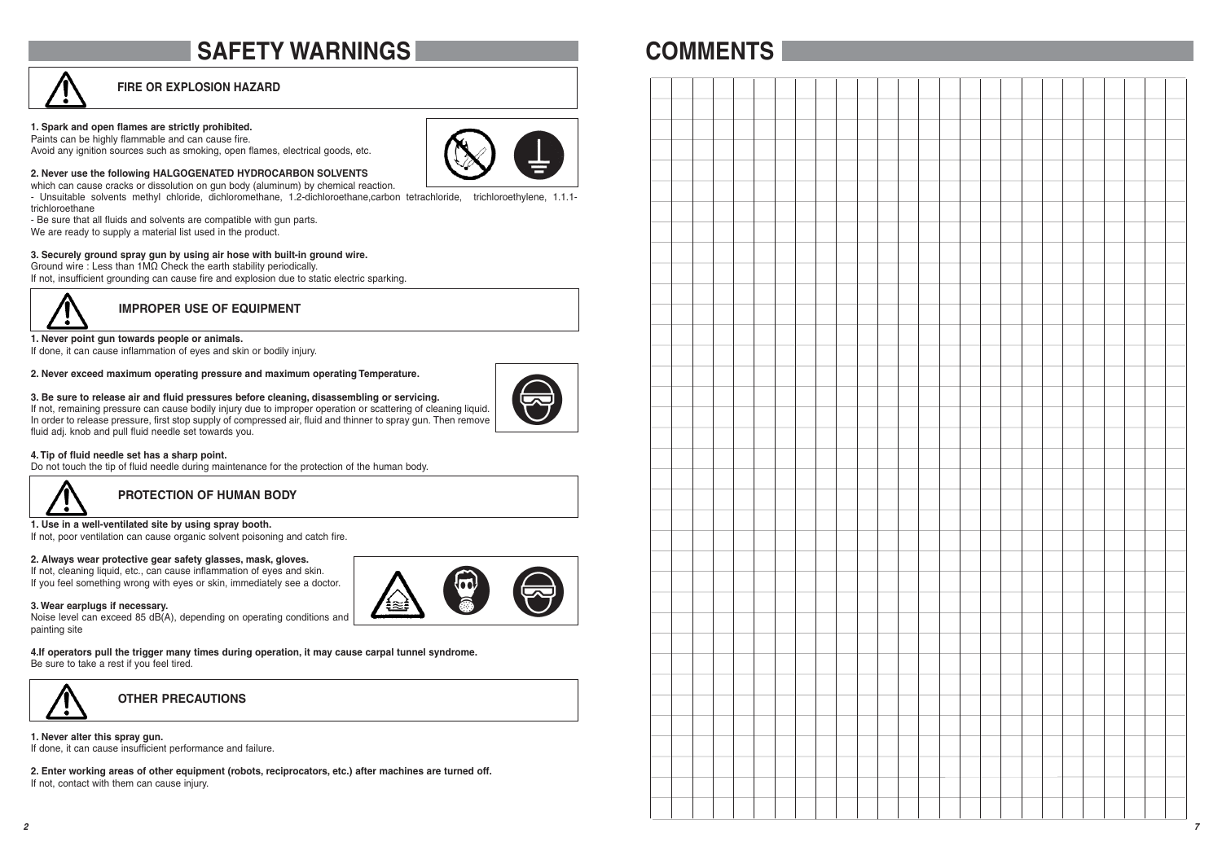# **SAFETY WARNINGS**

### **FIRE OR EXPLOSION HAZARD**

#### **1. Spark and open flames are strictly prohibited.**

Paints can be highly flammable and can cause fire. Avoid any ignition sources such as smoking, open flames, electrical goods, etc.



**2. Never use the following HALGOGENATED HYDROCARBON SOLVENTS** 

which can cause cracks or dissolution on gun body (aluminum) by chemical reaction.

- Unsuitable solvents methyl chloride, dichloromethane, 1.2-dichloroethane,carbon tetrachloride, trichloroethylene, 1.1.1 trichloroethane

- Be sure that all fluids and solvents are compatible with gun parts.

We are ready to supply a material list used in the product.

#### **3. Securely ground spray gun by using air hose with built-in ground wire.**

Ground wire : Less than 1MΩ Check the earth stability periodically.

If not, insufficient grounding can cause fire and explosion due to static electric sparking.



**IMPROPER USE OF EQUIPMENT**

#### **1. Never point gun towards people or animals.**

If done, it can cause inflammation of eyes and skin or bodily injury.

#### **2. Never exceed maximum operating pressure and maximum operating Temperature.**

### **3. Be sure to release air and fluid pressures before cleaning, disassembling or servicing.**

If not, remaining pressure can cause bodily injury due to improper operation or scattering of cleaning liquid. In order to release pressure, first stop supply of compressed air, fluid and thinner to spray gun. Then remove fluid adj. knob and pull fluid needle set towards you.

#### **4. Tip of fluid needle set has a sharp point.**

Do not touch the tip of fluid needle during maintenance for the protection of the human body.



**PROTECTION OF HUMAN BODY**

#### **1. Use in a well-ventilated site by using spray booth.**

If not, poor ventilation can cause organic solvent poisoning and catch fire.

#### **2. Always wear protective gear safety glasses, mask, gloves.**

If not, cleaning liquid, etc., can cause inflammation of eyes and skin. If you feel something wrong with eyes or skin, immediately see a doctor.

#### **3. Wear earplugs if necessary.**

Noise level can exceed 85 dB(A), depending on operating conditions and painting site

**4.If operators pull the trigger many times during operation, it may cause carpal tunnel syndrome.** Be sure to take a rest if you feel tired.



**OTHER PRECAUTIONS**

**1. Never alter this spray gun.** If done, it can cause insufficient performance and failure.

**2. Enter working areas of other equipment (robots, reciprocators, etc.) after machines are turned off.** If not, contact with them can cause injury.

# **COMMENTS**

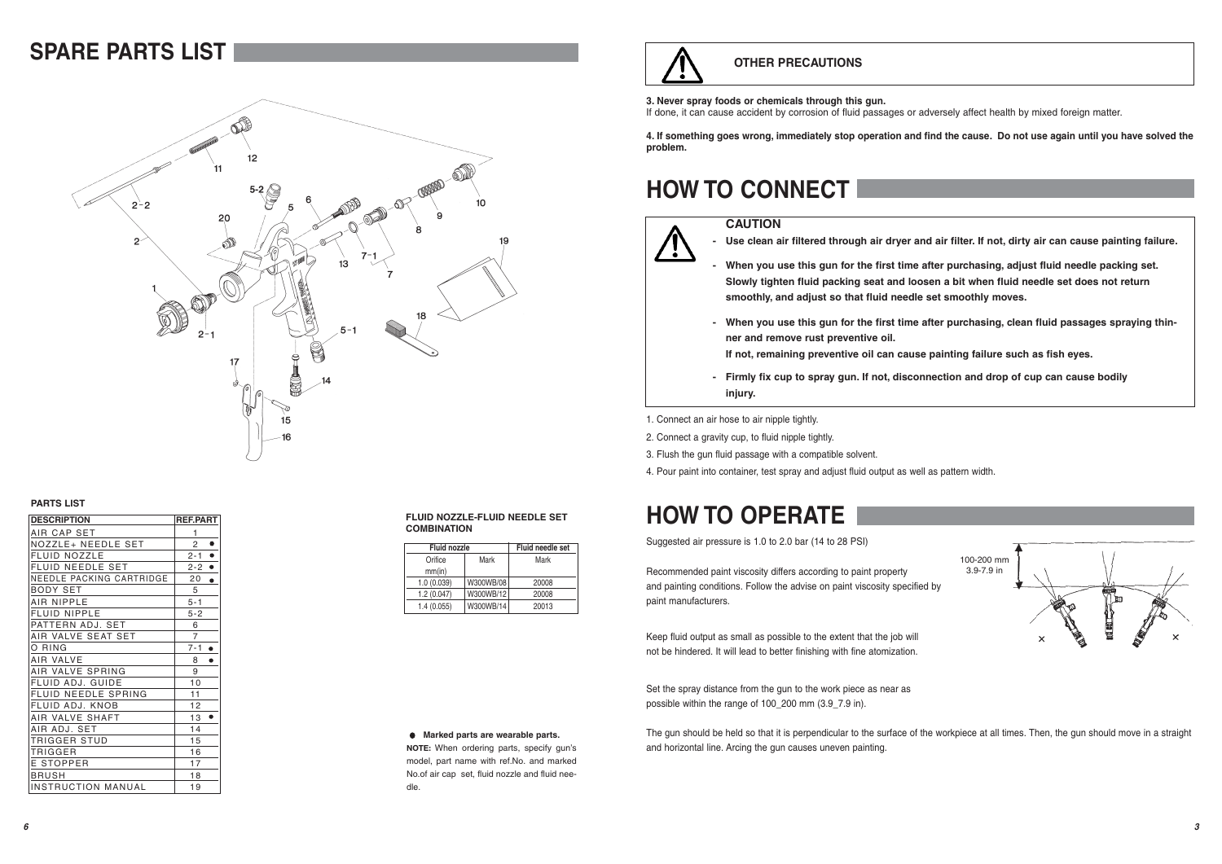# **SPARE PARTS LIST**



**PARTS LIST**

| <b>DESCRIPTION</b>        | <b>REF.PART</b>      |
|---------------------------|----------------------|
| AIR CAP SET               | 1                    |
| NOZZLE+ NEEDLE SET        | ٠<br>$\overline{2}$  |
| <b>FLUID NOZZLE</b>       | $2 - 1$<br>٠         |
| <b>FLUID NEEDLE SET</b>   | $\bullet$<br>$2 - 2$ |
| NEEDLE PACKING CARTRIDGE  | 20<br>$\bullet$      |
| <b>BODY SET</b>           | 5                    |
| AIR NIPPLE                | $5 - 1$              |
| <b>FLUID NIPPLE</b>       | $5 - 2$              |
| PATTERN ADJ. SET          | 6                    |
| AIR VALVE SEAT SET        | $\overline{7}$       |
| O RING                    | $7 - 1$<br>٠         |
| AIR VALVE                 | 8<br>٠               |
| AIR VALVE SPRING          | 9                    |
| FLUID ADJ. GUIDE          | 10                   |
| FLUID NEEDLE SPRING       | 11                   |
| FLUID ADJ. KNOB           | 12                   |
| AIR VALVE SHAFT           | 13                   |
| AIR ADJ. SET              | 14                   |
| TRIGGER STUD              | 15                   |
| TRIGGER                   | 16                   |
| E STOPPER                 | 17                   |
| BRUSH                     | 18                   |
| <b>INSTRUCTION MANUAL</b> | 19                   |

#### **FLUID NOZZLE-FLUID NEEDLE SET COMBINATION**

| <b>Fluid nozzle</b> | <b>Fluid needle set</b> |       |
|---------------------|-------------------------|-------|
| Orifice             | Mark                    | Mark  |
| mm(in)              |                         |       |
| 1.0(0.039)          | W300WB/08               | 20008 |
| 1.2(0.047)          | W300WB/12               | 20008 |
| 1.4(0.055)          | W300WB/14               | 20013 |

### **OTHER PRECAUTIONS**

#### **3. Never spray foods or chemicals through this gun.**

If done, it can cause accident by corrosion of fluid passages or adversely affect health by mixed foreign matter.

**4. If something goes wrong, immediately stop operation and find the cause. Do not use again until you have solved the problem.**

# **HOW TO CONNECT**

### **CAUTION**



**- Use clean air filtered through air dryer and air filter. If not, dirty air can cause painting failure.**

- **When you use this gun for the first time after purchasing, adjust fluid needle packing set. Slowly tighten fluid packing seat and loosen a bit when fluid needle set does not return smoothly, and adjust so that fluid needle set smoothly moves.**
- **When you use this gun for the first time after purchasing, clean fluid passages spraying thinner and remove rust preventive oil.**

100-200 mm 3.9-7.9 in

**If not, remaining preventive oil can cause painting failure such as fish eyes.**

**- Firmly fix cup to spray gun. If not, disconnection and drop of cup can cause bodily injury.**

1. Connect an air hose to air nipple tightly.

2. Connect a gravity cup, to fluid nipple tightly.

3. Flush the gun fluid passage with a compatible solvent.

4. Pour paint into container, test spray and adjust fluid output as well as pattern width.

# **HOW TO OPERATE**

Suggested air pressure is 1.0 to 2.0 bar (14 to 28 PSI)

Recommended paint viscosity differs according to paint property and painting conditions. Follow the advise on paint viscosity specified by paint manufacturers.

Keep fluid output as small as possible to the extent that the job will not be hindered. It will lead to better finishing with fine atomization.

Set the spray distance from the gun to the work piece as near as possible within the range of 100\_200 mm (3.9\_7.9 in).

The gun should be held so that it is perpendicular to the surface of the workpiece at all times. Then, the gun should move in a straight and horizontal line. Arcing the gun causes uneven painting.

### **Marked parts are wearable parts.**

**NOTE:** When ordering parts, specify gun's model, part name with ref.No. and marked No.of air cap set, fluid nozzle and fluid needle.